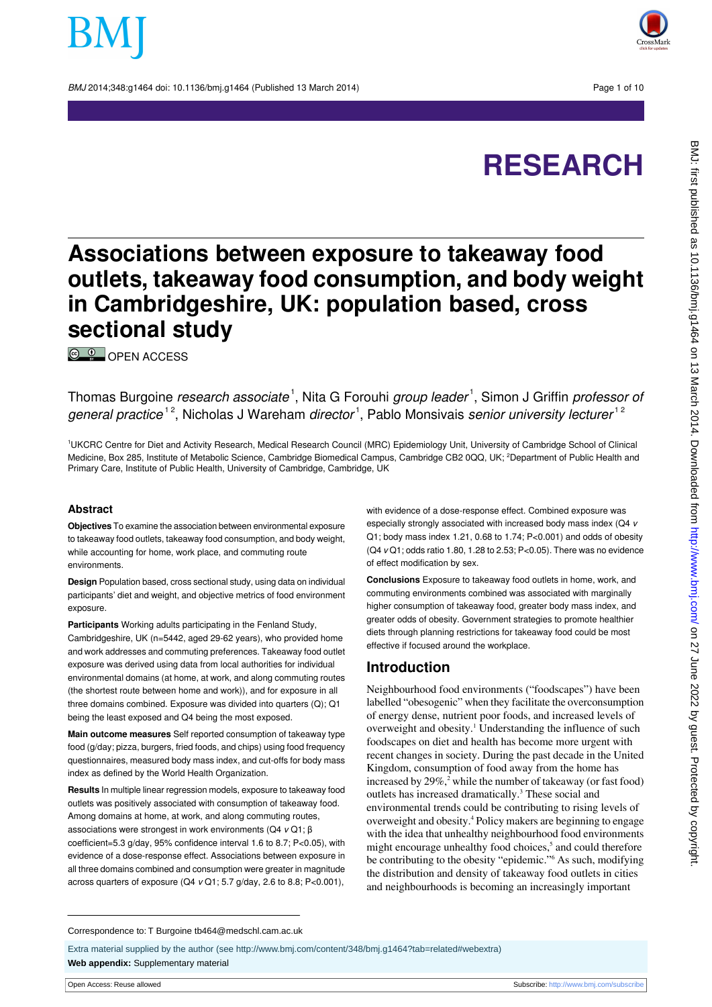BMJ 2014:348:g1464 doi: 10.1136/bmi.g1464 (Published 13 March 2014) Page 1 of 10



# **RESEARCH**

## **Associations between exposure to takeaway food outlets, takeaway food consumption, and body weight in Cambridgeshire, UK: population based, cross sectional study**

<sup>©</sup> [OPEN ACCESS](http://creativecommons.org/licenses/by/3.0/)

Thomas Burgoine *research associate* <sup>1</sup>, Nita G Forouhi *group leader* <sup>1</sup>, Simon J Griffin *professor of* general practice<sup>12</sup>, Nicholas J Wareham director<sup>1</sup>, Pablo Monsivais senior university lecturer<sup>12</sup>

<sup>1</sup>UKCRC Centre for Diet and Activity Research, Medical Research Council (MRC) Epidemiology Unit, University of Cambridge School of Clinical Medicine, Box 285, Institute of Metabolic Science, Cambridge Biomedical Campus, Cambridge CB2 0QQ, UK; <sup>2</sup>Department of Public Health and Primary Care, Institute of Public Health, University of Cambridge, Cambridge, UK

#### **Abstract**

**Objectives** To examine the association between environmental exposure to takeaway food outlets, takeaway food consumption, and body weight, while accounting for home, work place, and commuting route environments.

**Design** Population based, cross sectional study, using data on individual participants' diet and weight, and objective metrics of food environment exposure.

**Participants** Working adults participating in the Fenland Study, Cambridgeshire, UK (n=5442, aged 29-62 years), who provided home and work addresses and commuting preferences. Takeaway food outlet exposure was derived using data from local authorities for individual environmental domains (at home, at work, and along commuting routes (the shortest route between home and work)), and for exposure in all three domains combined. Exposure was divided into quarters (Q); Q1 being the least exposed and Q4 being the most exposed.

**Main outcome measures** Self reported consumption of takeaway type food (g/day; pizza, burgers, fried foods, and chips) using food frequency questionnaires, measured body mass index, and cut-offs for body mass index as defined by the World Health Organization.

**Results** In multiple linear regression models, exposure to takeaway food outlets was positively associated with consumption of takeaway food. Among domains at home, at work, and along commuting routes, associations were strongest in work environments (Q4 v Q1; β coefficient=5.3 g/day, 95% confidence interval 1.6 to 8.7; P<0.05), with evidence of a dose-response effect. Associations between exposure in all three domains combined and consumption were greater in magnitude across quarters of exposure  $(Q4 \text{ v }Q1; 5.7 \text{ g/day}, 2.6 \text{ to } 8.8; P<0.001),$ 

with evidence of a dose-response effect. Combined exposure was especially strongly associated with increased body mass index (Q4 v Q1; body mass index 1.21, 0.68 to 1.74; P<0.001) and odds of obesity (Q4 v Q1; odds ratio 1.80, 1.28 to 2.53; P<0.05). There was no evidence of effect modification by sex.

**Conclusions** Exposure to takeaway food outlets in home, work, and commuting environments combined was associated with marginally higher consumption of takeaway food, greater body mass index, and greater odds of obesity. Government strategies to promote healthier diets through planning restrictions for takeaway food could be most effective if focused around the workplace.

#### **Introduction**

Neighbourhood food environments ("foodscapes") have been labelled "obesogenic" when they facilitate the overconsumption of energy dense, nutrient poor foods, and increased levels of overweight and obesity.<sup>1</sup> Understanding the influence of such foodscapes on diet and health has become more urgent with recent changes in society. During the past decade in the United Kingdom, consumption of food away from the home has increased by  $29\%$ ,<sup>2</sup> while the number of takeaway (or fast food) outlets has increased dramatically.<sup>3</sup> These social and environmental trends could be contributing to rising levels of overweight and obesity.<sup>4</sup> Policy makers are beginning to engage with the idea that unhealthy neighbourhood food environments might encourage unhealthy food choices,<sup>5</sup> and could therefore be contributing to the obesity "epidemic."<sup>6</sup> As such, modifying the distribution and density of takeaway food outlets in cities and neighbourhoods is becoming an increasingly important

Extra material supplied by the author (see [http://www.bmj.com/content/348/bmj.g1464?tab=related#webextra\)](http://www.bmj.com/content/348/bmj.g1464?tab=related#webextra) **Web appendix:** Supplementary material

Correspondence to: T Burgoine tb464@medschl.cam.ac.uk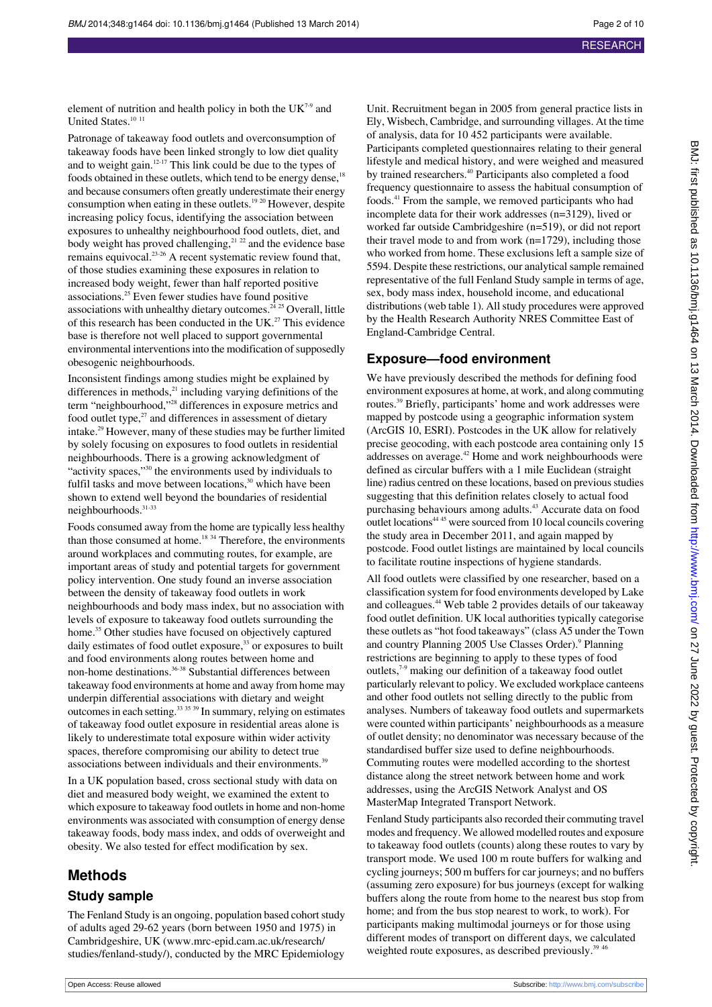element of nutrition and health policy in both the  $UK<sup>7-9</sup>$  and United States.<sup>10 11</sup>

Patronage of takeaway food outlets and overconsumption of takeaway foods have been linked strongly to low diet quality and to weight gain.<sup>12-17</sup> This link could be due to the types of foods obtained in these outlets, which tend to be energy dense.<sup>18</sup> and because consumers often greatly underestimate their energy consumption when eating in these outlets.<sup>19 20</sup> However, despite increasing policy focus, identifying the association between exposures to unhealthy neighbourhood food outlets, diet, and body weight has proved challenging,<sup>21, 22</sup> and the evidence base remains equivocal.23-26 A recent systematic review found that, of those studies examining these exposures in relation to increased body weight, fewer than half reported positive associations.<sup>25</sup> Even fewer studies have found positive associations with unhealthy dietary outcomes. $24 25$  Overall, little of this research has been conducted in the UK.<sup>27</sup> This evidence base is therefore not well placed to support governmental environmental interventions into the modification of supposedly obesogenic neighbourhoods.

Inconsistent findings among studies might be explained by differences in methods, $^{21}$  including varying definitions of the term "neighbourhood,"<sup>28</sup> differences in exposure metrics and food outlet type, $27$  and differences in assessment of dietary intake.<sup>29</sup> However, many of these studies may be further limited by solely focusing on exposures to food outlets in residential neighbourhoods. There is a growing acknowledgment of "activity spaces,"<sup>30</sup> the environments used by individuals to fulfil tasks and move between locations,<sup>30</sup> which have been shown to extend well beyond the boundaries of residential neighbourhoods.31-33

Foods consumed away from the home are typically less healthy than those consumed at home.<sup>18 34</sup> Therefore, the environments around workplaces and commuting routes, for example, are important areas of study and potential targets for government policy intervention. One study found an inverse association between the density of takeaway food outlets in work neighbourhoods and body mass index, but no association with levels of exposure to takeaway food outlets surrounding the home.<sup>35</sup> Other studies have focused on objectively captured daily estimates of food outlet exposure,<sup>33</sup> or exposures to built and food environments along routes between home and non-home destinations.<sup>36-38</sup> Substantial differences between takeaway food environments at home and away from home may underpin differential associations with dietary and weight outcomes in each setting.33 35 39 In summary, relying on estimates of takeaway food outlet exposure in residential areas alone is likely to underestimate total exposure within wider activity spaces, therefore compromising our ability to detect true associations between individuals and their environments.<sup>39</sup>

In a UK population based, cross sectional study with data on diet and measured body weight, we examined the extent to which exposure to takeaway food outlets in home and non-home environments was associated with consumption of energy dense takeaway foods, body mass index, and odds of overweight and obesity. We also tested for effect modification by sex.

### **Methods**

#### **Study sample**

The Fenland Study is an ongoing, population based cohort study of adults aged 29-62 years (born between 1950 and 1975) in Cambridgeshire, UK([www.mrc-epid.cam.ac.uk/research/](http://www.mrc-epid.cam.ac.uk/research/studies/fenland-study/) [studies/fenland-study/\)](http://www.mrc-epid.cam.ac.uk/research/studies/fenland-study/), conducted by the MRC Epidemiology

Unit. Recruitment began in 2005 from general practice lists in Ely, Wisbech, Cambridge, and surrounding villages. At the time of analysis, data for 10 452 participants were available. Participants completed questionnaires relating to their general lifestyle and medical history, and were weighed and measured by trained researchers.<sup>40</sup> Participants also completed a food frequency questionnaire to assess the habitual consumption of foods.<sup>41</sup> From the sample, we removed participants who had incomplete data for their work addresses (n=3129), lived or worked far outside Cambridgeshire (n=519), or did not report their travel mode to and from work (n=1729), including those who worked from home. These exclusions left a sample size of 5594. Despite these restrictions, our analytical sample remained representative of the full Fenland Study sample in terms of age, sex, body mass index, household income, and educational distributions (web table 1). All study procedures were approved by the Health Research Authority NRES Committee East of England-Cambridge Central.

#### **Exposure—food environment**

We have previously described the methods for defining food environment exposures at home, at work, and along commuting routes.<sup>39</sup> Briefly, participants' home and work addresses were mapped by postcode using a geographic information system (ArcGIS 10, ESRI). Postcodes in the UK allow for relatively precise geocoding, with each postcode area containing only 15 addresses on average.<sup>42</sup> Home and work neighbourhoods were defined as circular buffers with a 1 mile Euclidean (straight line) radius centred on these locations, based on previous studies suggesting that this definition relates closely to actual food purchasing behaviours among adults.<sup>43</sup> Accurate data on food outlet locations<sup>44 45</sup> were sourced from 10 local councils covering the study area in December 2011, and again mapped by postcode. Food outlet listings are maintained by local councils to facilitate routine inspections of hygiene standards.

All food outlets were classified by one researcher, based on a classification system for food environments developed by Lake and colleagues.<sup>44</sup> Web table 2 provides details of our takeaway food outlet definition. UK local authorities typically categorise these outlets as "hot food takeaways" (class A5 under the Town and country Planning 2005 Use Classes Order).<sup>9</sup> Planning restrictions are beginning to apply to these types of food outlets,7-9 making our definition of a takeaway food outlet particularly relevant to policy. We excluded workplace canteens and other food outlets not selling directly to the public from analyses. Numbers of takeaway food outlets and supermarkets were counted within participants' neighbourhoods as a measure of outlet density; no denominator was necessary because of the standardised buffer size used to define neighbourhoods. Commuting routes were modelled according to the shortest distance along the street network between home and work addresses, using the ArcGIS Network Analyst and OS MasterMap Integrated Transport Network.

Fenland Study participants also recorded their commuting travel modes and frequency. We allowed modelled routes and exposure to takeaway food outlets (counts) along these routes to vary by transport mode. We used 100 m route buffers for walking and cycling journeys; 500 m buffers for car journeys; and no buffers (assuming zero exposure) for bus journeys (except for walking buffers along the route from home to the nearest bus stop from home; and from the bus stop nearest to work, to work). For participants making multimodal journeys or for those using different modes of transport on different days, we calculated weighted route exposures, as described previously.<sup>39</sup>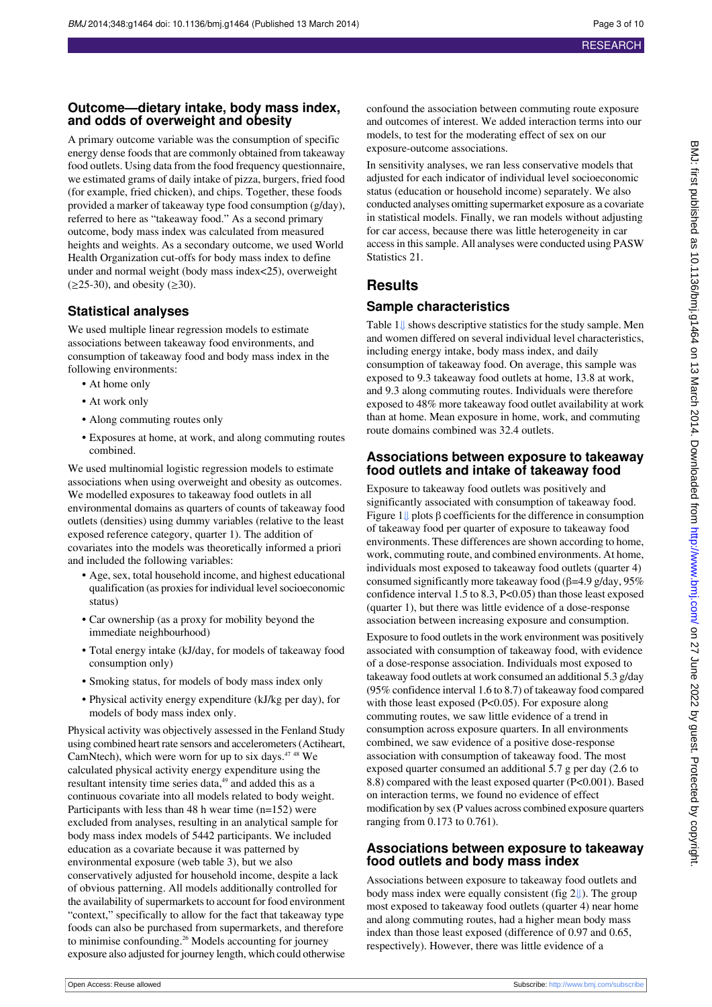#### **Outcome—dietary intake, body mass index, and odds of overweight and obesity**

A primary outcome variable was the consumption of specific energy dense foods that are commonly obtained from takeaway food outlets. Using data from the food frequency questionnaire, we estimated grams of daily intake of pizza, burgers, fried food (for example, fried chicken), and chips. Together, these foods provided a marker of takeaway type food consumption (g/day), referred to here as "takeaway food." As a second primary outcome, body mass index was calculated from measured heights and weights. As a secondary outcome, we used World Health Organization cut-offs for body mass index to define under and normal weight (body mass index<25), overweight  $(\geq 25-30)$ , and obesity  $(\geq 30)$ .

### **Statistical analyses**

We used multiple linear regression models to estimate associations between takeaway food environments, and consumption of takeaway food and body mass index in the following environments:

- **•** At home only
- **•** At work only
- **•** Along commuting routes only
- **•** Exposures at home, at work, and along commuting routes combined.

We used multinomial logistic regression models to estimate associations when using overweight and obesity as outcomes. We modelled exposures to takeaway food outlets in all environmental domains as quarters of counts of takeaway food outlets (densities) using dummy variables (relative to the least exposed reference category, quarter 1). The addition of covariates into the models was theoretically informed a priori and included the following variables:

- **•** Age, sex, total household income, and highest educational qualification (as proxies for individual level socioeconomic status)
- **•** Car ownership (as a proxy for mobility beyond the immediate neighbourhood)
- **•** Total energy intake (kJ/day, for models of takeaway food consumption only)
- **•** Smoking status, for models of body mass index only
- **•** Physical activity energy expenditure (kJ/kg per day), for models of body mass index only.

Physical activity was objectively assessed in the Fenland Study using combined heart rate sensors and accelerometers (Actiheart, CamNtech), which were worn for up to six days. $4748$  We calculated physical activity energy expenditure using the resultant intensity time series data,<sup>49</sup> and added this as a continuous covariate into all models related to body weight. Participants with less than 48 h wear time (n=152) were excluded from analyses, resulting in an analytical sample for body mass index models of 5442 participants. We included education as a covariate because it was patterned by environmental exposure (web table 3), but we also conservatively adjusted for household income, despite a lack of obvious patterning. All models additionally controlled for the availability of supermarkets to account for food environment "context," specifically to allow for the fact that takeaway type foods can also be purchased from supermarkets, and therefore to minimise confounding.<sup>26</sup> Models accounting for journey exposure also adjusted for journey length, which could otherwise

confound the association between commuting route exposure and outcomes of interest. We added interaction terms into our models, to test for the moderating effect of sex on our exposure-outcome associations.

In sensitivity analyses, we ran less conservative models that adjusted for each indicator of individual level socioeconomic status (education or household income) separately. We also conducted analyses omitting supermarket exposure as a covariate in statistical models. Finally, we ran models without adjusting for car access, because there was little heterogeneity in car access in this sample. All analyses were conducted using PASW Statistics 21.

## **Results**

#### **Sample characteristics**

Table [1⇓](#page-7-0) shows descriptive statistics for the study sample. Men and women differed on several individual level characteristics, including energy intake, body mass index, and daily consumption of takeaway food. On average, this sample was exposed to 9.3 takeaway food outlets at home, 13.8 at work, and 9.3 along commuting routes. Individuals were therefore exposed to 48% more takeaway food outlet availability at work than at home. Mean exposure in home, work, and commuting route domains combined was 32.4 outlets.

#### **Associations between exposure to takeaway food outlets and intake of takeaway food**

Exposure to takeaway food outlets was positively and significantly associated with consumption of takeaway food. Figure [1⇓](#page-9-0) plots β coefficients for the difference in consumption of takeaway food per quarter of exposure to takeaway food environments. These differences are shown according to home, work, commuting route, and combined environments. At home, individuals most exposed to takeaway food outlets (quarter 4) consumed significantly more takeaway food ( $\beta$ =4.9 g/day, 95%) confidence interval 1.5 to 8.3,  $P<0.05$ ) than those least exposed (quarter 1), but there was little evidence of a dose-response association between increasing exposure and consumption.

Exposure to food outlets in the work environment was positively associated with consumption of takeaway food, with evidence of a dose-response association. Individuals most exposed to takeaway food outlets at work consumed an additional 5.3 g/day (95% confidence interval 1.6 to 8.7) of takeaway food compared with those least exposed (P<0.05). For exposure along commuting routes, we saw little evidence of a trend in consumption across exposure quarters. In all environments combined, we saw evidence of a positive dose-response association with consumption of takeaway food. The most exposed quarter consumed an additional 5.7 g per day (2.6 to 8.8) compared with the least exposed quarter (P<0.001). Based on interaction terms, we found no evidence of effect modification by sex (P values across combined exposure quarters ranging from 0.173 to 0.761).

#### **Associations between exposure to takeaway food outlets and body mass index**

Associations between exposure to takeaway food outlets and body mass index were equally consistent (fig2[⇓\)](#page-9-1). The group most exposed to takeaway food outlets (quarter 4) near home and along commuting routes, had a higher mean body mass index than those least exposed (difference of 0.97 and 0.65, respectively). However, there was little evidence of a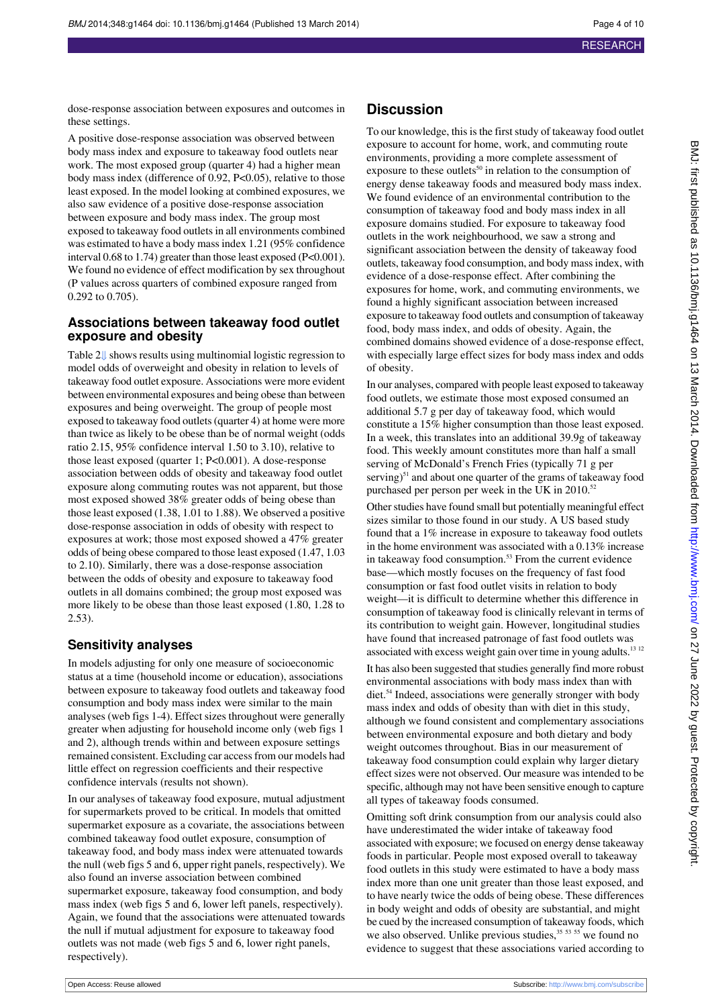dose-response association between exposures and outcomes in these settings.

A positive dose-response association was observed between body mass index and exposure to takeaway food outlets near work. The most exposed group (quarter 4) had a higher mean body mass index (difference of 0.92, P<0.05), relative to those least exposed. In the model looking at combined exposures, we also saw evidence of a positive dose-response association between exposure and body mass index. The group most exposed to takeaway food outlets in all environments combined was estimated to have a body mass index 1.21 (95% confidence interval 0.68 to 1.74) greater than those least exposed (P<0.001). We found no evidence of effect modification by sex throughout (P values across quarters of combined exposure ranged from 0.292 to 0.705).

#### **Associations between takeaway food outlet exposure and obesity**

Table [2⇓](#page-8-0) shows results using multinomial logistic regression to model odds of overweight and obesity in relation to levels of takeaway food outlet exposure. Associations were more evident between environmental exposures and being obese than between exposures and being overweight. The group of people most exposed to takeaway food outlets (quarter 4) at home were more than twice as likely to be obese than be of normal weight (odds ratio 2.15, 95% confidence interval 1.50 to 3.10), relative to those least exposed (quarter 1; P<0.001). A dose-response association between odds of obesity and takeaway food outlet exposure along commuting routes was not apparent, but those most exposed showed 38% greater odds of being obese than those least exposed (1.38, 1.01 to 1.88). We observed a positive dose-response association in odds of obesity with respect to exposures at work; those most exposed showed a 47% greater odds of being obese compared to those least exposed (1.47, 1.03 to 2.10). Similarly, there was a dose-response association between the odds of obesity and exposure to takeaway food outlets in all domains combined; the group most exposed was more likely to be obese than those least exposed (1.80, 1.28 to 2.53).

### **Sensitivity analyses**

In models adjusting for only one measure of socioeconomic status at a time (household income or education), associations between exposure to takeaway food outlets and takeaway food consumption and body mass index were similar to the main analyses (web figs 1-4). Effect sizes throughout were generally greater when adjusting for household income only (web figs 1 and 2), although trends within and between exposure settings remained consistent. Excluding car access from our models had little effect on regression coefficients and their respective confidence intervals (results not shown).

In our analyses of takeaway food exposure, mutual adjustment for supermarkets proved to be critical. In models that omitted supermarket exposure as a covariate, the associations between combined takeaway food outlet exposure, consumption of takeaway food, and body mass index were attenuated towards the null (web figs 5 and 6, upper right panels, respectively). We also found an inverse association between combined supermarket exposure, takeaway food consumption, and body mass index (web figs 5 and 6, lower left panels, respectively). Again, we found that the associations were attenuated towards the null if mutual adjustment for exposure to takeaway food outlets was not made (web figs 5 and 6, lower right panels, respectively).

#### **Discussion**

To our knowledge, this is the first study of takeaway food outlet exposure to account for home, work, and commuting route environments, providing a more complete assessment of exposure to these outlets<sup>50</sup> in relation to the consumption of energy dense takeaway foods and measured body mass index. We found evidence of an environmental contribution to the consumption of takeaway food and body mass index in all exposure domains studied. For exposure to takeaway food outlets in the work neighbourhood, we saw a strong and significant association between the density of takeaway food outlets, takeaway food consumption, and body mass index, with evidence of a dose-response effect. After combining the exposures for home, work, and commuting environments, we found a highly significant association between increased exposure to takeaway food outlets and consumption of takeaway food, body mass index, and odds of obesity. Again, the combined domains showed evidence of a dose-response effect, with especially large effect sizes for body mass index and odds of obesity.

In our analyses, compared with people least exposed to takeaway food outlets, we estimate those most exposed consumed an additional 5.7 g per day of takeaway food, which would constitute a 15% higher consumption than those least exposed. In a week, this translates into an additional 39.9g of takeaway food. This weekly amount constitutes more than half a small serving of McDonald's French Fries (typically 71 g per serving)<sup>51</sup> and about one quarter of the grams of takeaway food purchased per person per week in the UK in 2010.<sup>52</sup>

Other studies have found small but potentially meaningful effect sizes similar to those found in our study. A US based study found that a 1% increase in exposure to takeaway food outlets in the home environment was associated with a 0.13% increase in takeaway food consumption.<sup>53</sup> From the current evidence base—which mostly focuses on the frequency of fast food consumption or fast food outlet visits in relation to body weight—it is difficult to determine whether this difference in consumption of takeaway food is clinically relevant in terms of its contribution to weight gain. However, longitudinal studies have found that increased patronage of fast food outlets was associated with excess weight gain over time in young adults.<sup>13 12</sup>

It has also been suggested that studies generally find more robust environmental associations with body mass index than with diet.<sup>54</sup> Indeed, associations were generally stronger with body mass index and odds of obesity than with diet in this study, although we found consistent and complementary associations between environmental exposure and both dietary and body weight outcomes throughout. Bias in our measurement of takeaway food consumption could explain why larger dietary effect sizes were not observed. Our measure was intended to be specific, although may not have been sensitive enough to capture all types of takeaway foods consumed.

Omitting soft drink consumption from our analysis could also have underestimated the wider intake of takeaway food associated with exposure; we focused on energy dense takeaway foods in particular. People most exposed overall to takeaway food outlets in this study were estimated to have a body mass index more than one unit greater than those least exposed, and to have nearly twice the odds of being obese. These differences in body weight and odds of obesity are substantial, and might be cued by the increased consumption of takeaway foods, which we also observed. Unlike previous studies,<sup>35 53</sup> we found no evidence to suggest that these associations varied according to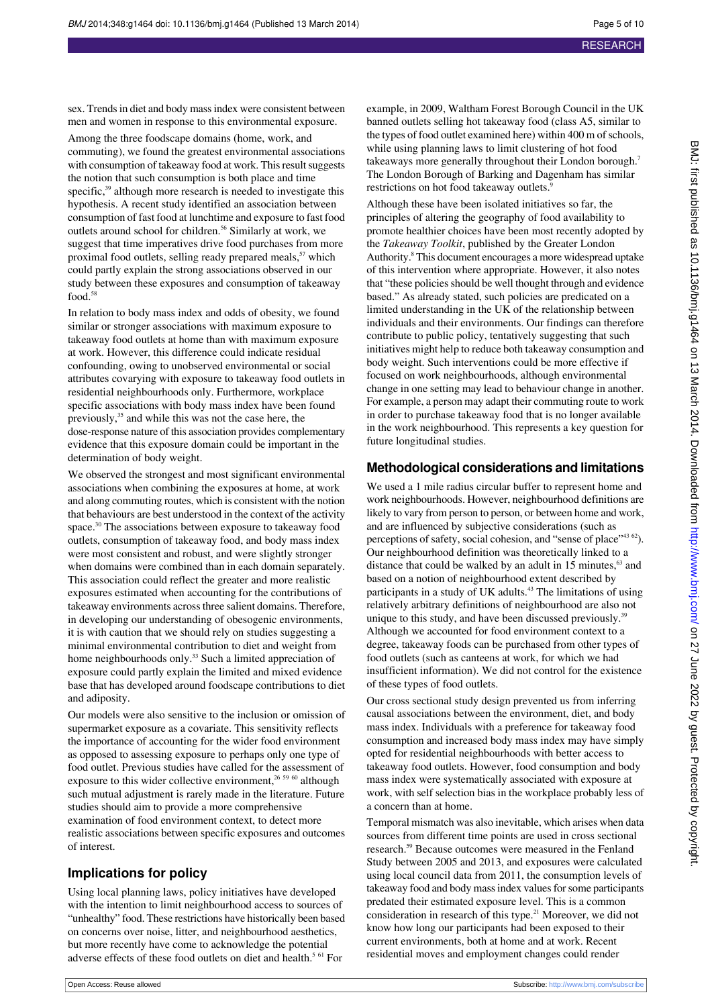sex. Trends in diet and body mass index were consistent between men and women in response to this environmental exposure.

Among the three foodscape domains (home, work, and commuting), we found the greatest environmental associations with consumption of takeaway food at work. This result suggests the notion that such consumption is both place and time specific,<sup>39</sup> although more research is needed to investigate this hypothesis. A recent study identified an association between consumption of fast food at lunchtime and exposure to fast food outlets around school for children.<sup>56</sup> Similarly at work, we suggest that time imperatives drive food purchases from more proximal food outlets, selling ready prepared meals,<sup>57</sup> which could partly explain the strong associations observed in our study between these exposures and consumption of takeaway food.<sup>58</sup>

In relation to body mass index and odds of obesity, we found similar or stronger associations with maximum exposure to takeaway food outlets at home than with maximum exposure at work. However, this difference could indicate residual confounding, owing to unobserved environmental or social attributes covarying with exposure to takeaway food outlets in residential neighbourhoods only. Furthermore, workplace specific associations with body mass index have been found previously,<sup>35</sup> and while this was not the case here, the dose-response nature of this association provides complementary evidence that this exposure domain could be important in the determination of body weight.

We observed the strongest and most significant environmental associations when combining the exposures at home, at work and along commuting routes, which is consistent with the notion that behaviours are best understood in the context of the activity space.<sup>30</sup> The associations between exposure to takeaway food outlets, consumption of takeaway food, and body mass index were most consistent and robust, and were slightly stronger when domains were combined than in each domain separately. This association could reflect the greater and more realistic exposures estimated when accounting for the contributions of takeaway environments across three salient domains. Therefore, in developing our understanding of obesogenic environments, it is with caution that we should rely on studies suggesting a minimal environmental contribution to diet and weight from home neighbourhoods only.<sup>33</sup> Such a limited appreciation of exposure could partly explain the limited and mixed evidence base that has developed around foodscape contributions to diet and adiposity.

Our models were also sensitive to the inclusion or omission of supermarket exposure as a covariate. This sensitivity reflects the importance of accounting for the wider food environment as opposed to assessing exposure to perhaps only one type of food outlet. Previous studies have called for the assessment of exposure to this wider collective environment,<sup>26 59 60</sup> although such mutual adjustment is rarely made in the literature. Future studies should aim to provide a more comprehensive examination of food environment context, to detect more realistic associations between specific exposures and outcomes of interest.

### **Implications for policy**

Using local planning laws, policy initiatives have developed with the intention to limit neighbourhood access to sources of "unhealthy" food. These restrictions have historically been based on concerns over noise, litter, and neighbourhood aesthetics, but more recently have come to acknowledge the potential adverse effects of these food outlets on diet and health.<sup>5 61</sup> For

example, in 2009, Waltham Forest Borough Council in the UK banned outlets selling hot takeaway food (class A5, similar to the types of food outlet examined here) within 400 m of schools, while using planning laws to limit clustering of hot food takeaways more generally throughout their London borough.<sup>7</sup> The London Borough of Barking and Dagenham has similar restrictions on hot food takeaway outlets.<sup>9</sup>

Although these have been isolated initiatives so far, the principles of altering the geography of food availability to promote healthier choices have been most recently adopted by the *Takeaway Toolkit*, published by the Greater London Authority.<sup>8</sup> This document encourages a more widespread uptake of this intervention where appropriate. However, it also notes that "these policies should be well thought through and evidence based." As already stated, such policies are predicated on a limited understanding in the UK of the relationship between individuals and their environments. Our findings can therefore contribute to public policy, tentatively suggesting that such initiatives might help to reduce both takeaway consumption and body weight. Such interventions could be more effective if focused on work neighbourhoods, although environmental change in one setting may lead to behaviour change in another. For example, a person may adapt their commuting route to work in order to purchase takeaway food that is no longer available in the work neighbourhood. This represents a key question for future longitudinal studies.

#### **Methodological considerations and limitations**

We used a 1 mile radius circular buffer to represent home and work neighbourhoods. However, neighbourhood definitions are likely to vary from person to person, or between home and work, and are influenced by subjective considerations (such as perceptions of safety, social cohesion, and "sense of place"<sup>43 62</sup>). Our neighbourhood definition was theoretically linked to a distance that could be walked by an adult in 15 minutes, $\delta$  and based on a notion of neighbourhood extent described by participants in a study of UK adults.<sup>43</sup> The limitations of using relatively arbitrary definitions of neighbourhood are also not unique to this study, and have been discussed previously.<sup>39</sup> Although we accounted for food environment context to a degree, takeaway foods can be purchased from other types of food outlets (such as canteens at work, for which we had insufficient information). We did not control for the existence of these types of food outlets.

Our cross sectional study design prevented us from inferring causal associations between the environment, diet, and body mass index. Individuals with a preference for takeaway food consumption and increased body mass index may have simply opted for residential neighbourhoods with better access to takeaway food outlets. However, food consumption and body mass index were systematically associated with exposure at work, with self selection bias in the workplace probably less of a concern than at home.

Temporal mismatch was also inevitable, which arises when data sources from different time points are used in cross sectional research.<sup>59</sup> Because outcomes were measured in the Fenland Study between 2005 and 2013, and exposures were calculated using local council data from 2011, the consumption levels of takeaway food and body mass index values for some participants predated their estimated exposure level. This is a common consideration in research of this type. $2<sup>1</sup>$  Moreover, we did not know how long our participants had been exposed to their current environments, both at home and at work. Recent residential moves and employment changes could render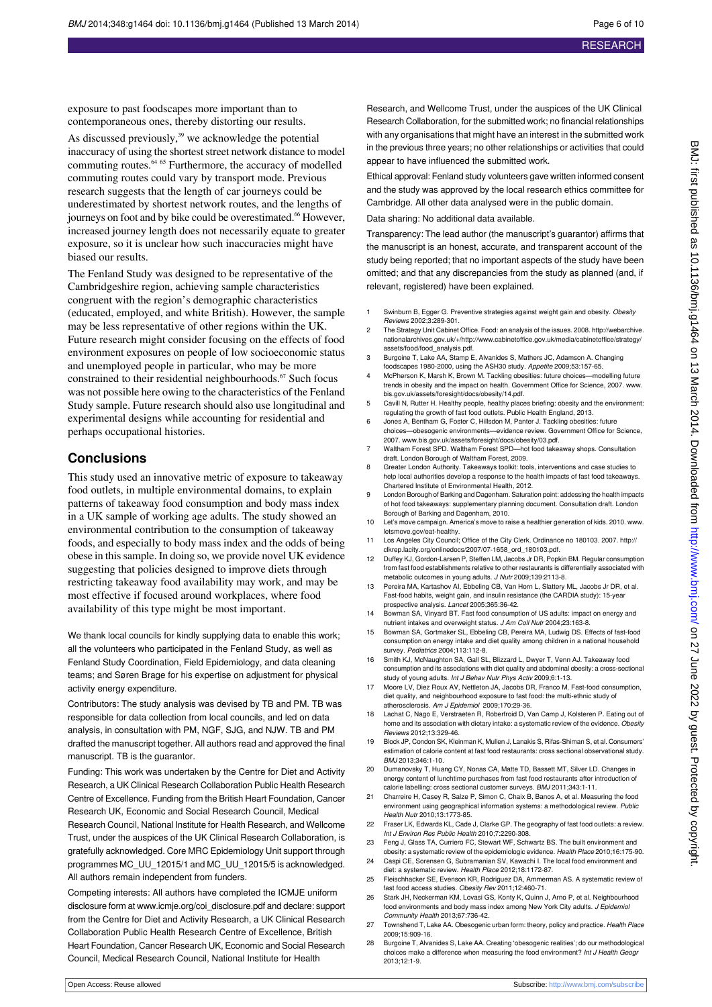exposure to past foodscapes more important than to contemporaneous ones, thereby distorting our results.

As discussed previously,<sup>39</sup> we acknowledge the potential inaccuracy of using the shortest street network distance to model commuting routes.64 65 Furthermore, the accuracy of modelled commuting routes could vary by transport mode. Previous research suggests that the length of car journeys could be underestimated by shortest network routes, and the lengths of journeys on foot and by bike could be overestimated.<sup>66</sup> However, increased journey length does not necessarily equate to greater exposure, so it is unclear how such inaccuracies might have biased our results.

The Fenland Study was designed to be representative of the Cambridgeshire region, achieving sample characteristics congruent with the region's demographic characteristics (educated, employed, and white British). However, the sample may be less representative of other regions within the UK. Future research might consider focusing on the effects of food environment exposures on people of low socioeconomic status and unemployed people in particular, who may be more constrained to their residential neighbourhoods.<sup>67</sup> Such focus was not possible here owing to the characteristics of the Fenland Study sample. Future research should also use longitudinal and experimental designs while accounting for residential and perhaps occupational histories.

#### **Conclusions**

This study used an innovative metric of exposure to takeaway food outlets, in multiple environmental domains, to explain patterns of takeaway food consumption and body mass index in a UK sample of working age adults. The study showed an environmental contribution to the consumption of takeaway foods, and especially to body mass index and the odds of being obese in this sample. In doing so, we provide novel UK evidence suggesting that policies designed to improve diets through restricting takeaway food availability may work, and may be most effective if focused around workplaces, where food availability of this type might be most important.

We thank local councils for kindly supplying data to enable this work; all the volunteers who participated in the Fenland Study, as well as Fenland Study Coordination, Field Epidemiology, and data cleaning teams; and Søren Brage for his expertise on adjustment for physical activity energy expenditure.

Contributors: The study analysis was devised by TB and PM. TB was responsible for data collection from local councils, and led on data analysis, in consultation with PM, NGF, SJG, and NJW. TB and PM drafted the manuscript together. All authors read and approved the final manuscript. TB is the guarantor.

Funding: This work was undertaken by the Centre for Diet and Activity Research, a UK Clinical Research Collaboration Public Health Research Centre of Excellence. Funding from the British Heart Foundation, Cancer Research UK, Economic and Social Research Council, Medical

Research Council, National Institute for Health Research, and Wellcome Trust, under the auspices of the UK Clinical Research Collaboration, is gratefully acknowledged. Core MRC Epidemiology Unit support through programmes MC\_UU\_12015/1 and MC\_UU\_12015/5 is acknowledged. All authors remain independent from funders.

Competing interests: All authors have completed the ICMJE uniform disclosure form at [www.icmje.org/coi\\_disclosure.pdf](http://www.icmje.org/coi_disclosure.pdf) and declare: support from the Centre for Diet and Activity Research, a UK Clinical Research Collaboration Public Health Research Centre of Excellence, British Heart Foundation, Cancer Research UK, Economic and Social Research Council, Medical Research Council, National Institute for Health

Research, and Wellcome Trust, under the auspices of the UK Clinical Research Collaboration, for the submitted work; no financial relationships with any organisations that might have an interest in the submitted work in the previous three years; no other relationships or activities that could appear to have influenced the submitted work.

Ethical approval: Fenland study volunteers gave written informed consent and the study was approved by the local research ethics committee for Cambridge. All other data analysed were in the public domain.

Data sharing: No additional data available.

Transparency: The lead author (the manuscript's guarantor) affirms that the manuscript is an honest, accurate, and transparent account of the study being reported; that no important aspects of the study have been omitted; and that any discrepancies from the study as planned (and, if relevant, registered) have been explained.

- 1 Swinburn B, Egger G. Preventive strategies against weight gain and obesity. Obesity Reviews 2002;3:289-301.
- 2 The Strategy Unit Cabinet Office. Food: an analysis of the issues. 2008. [http://webarchive.](http://webarchive.nationalarchives.gov.uk/+/http://www.cabinetoffice.gov.uk/media/cabinetoffice/strategy/assets/food/food_analysis.pdf) [nationalarchives.gov.uk/+/http://www.cabinetoffice.gov.uk/media/cabinetoffice/strategy/](http://webarchive.nationalarchives.gov.uk/+/http://www.cabinetoffice.gov.uk/media/cabinetoffice/strategy/assets/food/food_analysis.pdf) [assets/food/food\\_analysis.pdf.](http://webarchive.nationalarchives.gov.uk/+/http://www.cabinetoffice.gov.uk/media/cabinetoffice/strategy/assets/food/food_analysis.pdf)
- 3 Burgoine T, Lake AA, Stamp E, Alvanides S, Mathers JC, Adamson A. Changing foodscapes 1980-2000, using the ASH30 study. Appetite 2009;53:157-65.
- McPherson K, Marsh K, Brown M. Tackling obesities: future choices-modelling future trends in obesity and the impact on health. Government Office for Science, 2007. [www.](http://www.bis.gov.uk/assets/foresight/docs/obesity/14.pdf) [bis.gov.uk/assets/foresight/docs/obesity/14.pdf](http://www.bis.gov.uk/assets/foresight/docs/obesity/14.pdf).
- 5 Cavill N, Rutter H. Healthy people, healthy places briefing: obesity and the environment: regulating the growth of fast food outlets. Public Health England, 2013.
- 6 Jones A, Bentham G, Foster C, Hillsdon M, Panter J. Tackling obesities: future choices—obesogenic environments—evidence review. Government Office for Science, 2007. [www.bis.gov.uk/assets/foresight/docs/obesity/03.pdf](http://www.bis.gov.uk/assets/foresight/docs/obesity/03.pdf).
- 7 Waltham Forest SPD. Waltham Forest SPD—hot food takeaway shops. Consultation draft. London Borough of Waltham Forest, 2009.
- 8 Greater London Authority. Takeaways toolkit: tools, interventions and case studies to help local authorities develop a response to the health impacts of fast food takeaways. Chartered Institute of Environmental Health, 2012.
- 9 London Borough of Barking and Dagenham. Saturation point: addessing the health impacts of hot food takeaways: supplementary planning document. Consultation draft. London Borough of Barking and Dagenham, 2010.
- 10 Let's move campaign. America's move to raise a healthier generation of kids. 2010. [www.](http://www.letsmove.gov/eat-healthy) [letsmove.gov/eat-healthy](http://www.letsmove.gov/eat-healthy).
- 11 Los Angeles City Council; Office of the City Clerk. Ordinance no 180103. 2007. [http://](http://clkrep.lacity.org/onlinedocs/2007/07-1658_ord_180103.pdf) [clkrep.lacity.org/onlinedocs/2007/07-1658\\_ord\\_180103.pdf](http://clkrep.lacity.org/onlinedocs/2007/07-1658_ord_180103.pdf).
- 12 Duffey KJ, Gordon-Larsen P, Steffen LM, Jacobs Jr DR, Popkin BM. Regular consumption from fast food establishments relative to other restaurants is differentially associated with metabolic outcomes in young adults. J Nutr 2009;139:2113-8.
- 13 Pereira MA, Kartashov AI, Ebbeling CB, Van Horn L, Slattery ML, Jacobs Jr DR, et al. Fast-food habits, weight gain, and insulin resistance (the CARDIA study): 15-year prospective analysis. Lancet 2005;365:36-42.
- 14 Bowman SA, Vinyard BT. Fast food consumption of US adults: impact on energy and nutrient intakes and overweight status. J Am Coll Nutr 2004;23:163-8.
- 15 Bowman SA, Gortmaker SL, Ebbeling CB, Pereira MA, Ludwig DS. Effects of fast-food consumption on energy intake and diet quality among children in a national household survey. Pediatrics 2004;113:112-8.
- 16 Smith KJ, McNaughton SA, Gall SL, Blizzard L, Dwyer T, Venn AJ. Takeaway food consumption and its associations with diet quality and abdominal obesity: a cross-sectional study of young adults. Int J Behav Nutr Phys Activ 2009;6:1-13.
- 17 Moore LV, Diez Roux AV, Nettleton JA, Jacobs DR, Franco M. Fast-food consumption, diet quality, and neighbourhood exposure to fast food: the multi-ethnic study of atherosclerosis. Am J Epidemiol 2009;170:29-36.
- 18 Lachat C, Nago E, Verstraeten R, Roberfroid D, Van Camp J, Kolsteren P. Eating out of home and its association with dietary intake: a systematic review of the evidence. Obesity Reviews 2012;13:329-46.
- 19 Block JP, Condon SK, Kleinman K, Mullen J, Lanakis S, Rifas-Shiman S, et al. Consumers' estimation of calorie content at fast food restaurants: cross sectional observational study. BMJ 2013;346:1-10.
- 20 Dumanovsky T, Huang CY, Nonas CA, Matte TD, Bassett MT, Silver LD. Changes in energy content of lunchtime purchases from fast food restaurants after introduction of calorie labelling: cross sectional customer surveys. BMJ 2011;343:1-11.
- 21 Charreire H, Casey R, Salze P, Simon C, Chaix B, Banos A, et al. Measuring the food environment using geographical information systems: a methodological review. Public Health Nutr 2010;13:1773-85.
- 22 Fraser LK, Edwards KL, Cade J, Clarke GP. The geography of fast food outlets: a review Int J Environ Res Public Health 2010;7:2290-308.
- 23 Feng J, Glass TA, Curriero FC, Stewart WF, Schwartz BS. The built environment and obesity: a systematic review of the epidemiologic evidence. Health Place 2010;16:175-90. 24 Caspi CE, Sorensen G, Subramanian SV, Kawachi I. The local food environment and
- diet: a systematic review. Health Place 2012;18:1172-87.
- 25 Fleischhacker SE, Evenson KR, Rodriguez DA, Ammerman AS. A systematic review of fast food access studies. Obesity Rev 2011;12:460-71.
- 26 Stark JH, Neckerman KM, Lovasi GS, Konty K, Quinn J, Arno P, et al. Neighbourhood food environments and body mass index among New York City adults. J Epidemiol Community Health 2013;67:736-42.
- 27 Townshend T, Lake AA. Obesogenic urban form: theory, policy and practice. Health Place 2009;15:909-16.
- 28 Burgoine T, Alvanides S, Lake AA. Creating 'obesogenic realities'; do our methodological ices make a difference when measuring the food environment? Int J Health Geog 2013;12:1-9.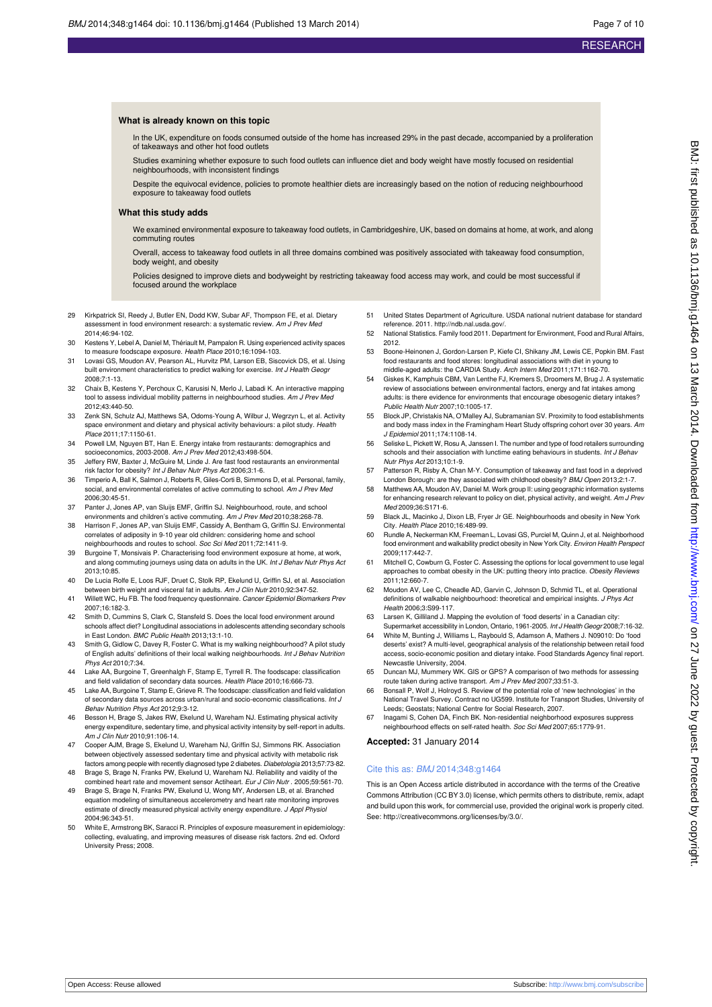In the UK, expenditure on foods consumed outside of the home has increased 29% in the past decade, accompanied by a proliferation of takeaways and other hot food outlets

Studies examining whether exposure to such food outlets can influence diet and body weight have mostly focused on residential neighbourhoods, with inconsistent findings

Despite the equivocal evidence, policies to promote healthier diets are increasingly based on the notion of reducing neighbourhood exposure to takeaway food outlets

#### **What this study adds**

We examined environmental exposure to takeaway food outlets, in Cambridgeshire, UK, based on domains at home, at work, and along commuting routes

Overall, access to takeaway food outlets in all three domains combined was positively associated with takeaway food consumption, body weight, and obesity

Policies designed to improve diets and bodyweight by restricting takeaway food access may work, and could be most successful if focused around the workplace

- 29 Kirkpatrick SI, Reedy J, Butler EN, Dodd KW, Subar AF, Thompson FE, et al. Dietary assessment in food environment research: a systematic review. Am J Prev Med 2014;46:94-102.
- 30 Kestens Y, Lebel A, Daniel M, Thériault M, Pampalon R. Using experienced activity spaces to measure foodscape exposure. Health Place 2010;16:1094-103.
- 31 Lovasi GS, Moudon AV, Pearson AL, Hurvitz PM, Larson EB, Siscovick DS, et al. Using built environment characteristics to predict walking for exercise. Int J Health Geography 2008;7:1-13.
- 32 Chaix B, Kestens Y, Perchoux C, Karusisi N, Merlo J, Labadi K. An interactive mapping tool to assess individual mobility patterns in neighbourhood studies. Am J Prev Med 2012;43:440-50.
- 33 Zenk SN, Schulz AJ, Matthews SA, Odoms-Young A, Wilbur J, Wegrzyn L, et al. Activity space environment and dietary and physical activity behaviours: a pilot study. Health Place 2011;17:1150-61.
- 34 Powell LM, Nguyen BT, Han E. Energy intake from restaurants: demographics and socioeconomics, 2003-2008. Am J Prev Med 2012;43:498-504.
- 35 Jeffery RW, Baxter J, McGuire M, Linde J. Are fast food restaurants an environmental risk factor for obesity? Int J Behav Nutr Phys Act 2006;3:1-6.
- 36 Timperio A, Ball K, Salmon J, Roberts R, Giles-Corti B, Simmons D, et al. Personal, family, social, and environmental correlates of active commuting to school. Am J Prev Med 2006;30:45-51.
- 37 Panter J, Jones AP, van Sluijs EMF, Griffin SJ. Neighbourhood, route, and school environments and children's active commuting. Am J Prev Med 2010;38:268-78.
- 38 Harrison F, Jones AP, van Sluijs EMF, Cassidy A, Bentham G, Griffin SJ. Environmental correlates of adiposity in 9-10 year old children: considering home and school neighbourhoods and routes to school. Soc Sci Med 2011;72:1411-9.
- 39 Burgoine T, Monsivais P. Characterising food environment exposure at home, at work, and along commuting journeys using data on adults in the UK. Int J Behav Nutr Phys Act 2013;10:85.
- 40 De Lucia Rolfe E, Loos RJF, Druet C, Stolk RP, Ekelund U, Griffin SJ, et al. Association between birth weight and visceral fat in adults. Am J Clin Nutr 2010;92:347-52.
- 41 Willett WC, Hu FB. The food frequency questionnaire. Cancer Epidemiol Biomarkers Prev 2007;16:182-3.
- 42 Smith D, Cummins S, Clark C, Stansfeld S. Does the local food environment around schools affect diet? Longitudinal associations in adolescents attending secondary schools<br>in East London. *BMC Public Health* 2013;13:1-10.
- 43 Smith G, Gidlow C, Davey R, Foster C. What is my walking neighbourhood? A pilot study of English adults' definitions of their local walking neighbourhoods. Int J Behav Nutrition Phys Act 2010;7:34.
- 44 Lake AA, Burgoine T, Greenhalgh F, Stamp E, Tyrrell R. The foodscape: classification and field validation of secondary data sources. Health Place 2010;16:666-73.
- 45 Lake AA, Burgoine T, Stamp E, Grieve R. The foodscape: classification and field validation of secondary data sources across urban/rural and socio-economic classifications. Int J Behav Nutrition Phys Act 2012;9:3-12.
- 46 Besson H, Brage S, Jakes RW, Ekelund U, Wareham NJ. Estimating physical activity energy expenditure, sedentary time, and physical activity intensity by self-report in adults. Am J Clin Nutr 2010;91:106-14.
- Cooper AJM, Brage S, Ekelund U, Wareham NJ, Griffin SJ, Simmons RK. Association between objectively assessed sedentary time and physical activity with metabolic risk factors among people with recently diagnosed type 2 diabetes. Diabetologia 2013;57:73-82. 48 Brage S, Brage N, Franks PW, Ekelund U, Wareham NJ. Reliability and vaidity of the
- combined heart rate and movement sensor Actiheart. Eur J Clin Nutr . 2005;59:561-70.
- 49 Brage S, Brage N, Franks PW, Ekelund U, Wong MY, Andersen LB, et al. Branched equation modeling of simultaneous accelerometry and heart rate monitoring improves estimate of directly measured physical activity energy expenditure. J Appl Physiol 2004;96:343-51.
- 50 White E, Armstrong BK, Saracci R. Principles of exposure measurement in epidemiology: collecting, evaluating, and improving measures of disease risk factors. 2nd ed. Oxford University Press; 2008.
- 51 United States Department of Agriculture. USDA national nutrient database for standard reference. 2011. [http://ndb.nal.usda.gov/.](http://ndb.nal.usda.gov/)
- 52 National Statistics. Family food 2011. Department for Environment, Food and Rural Affairs, 2012.
- 53 Boone-Heinonen J, Gordon-Larsen P, Kiefe CI, Shikany JM, Lewis CE, Popkin BM. Fast food restaurants and food stores: longitudinal associations with diet in young to middle-aged adults: the CARDIA Study. Arch Intern Med 2011;171:1162-70.
- Giskes K, Kamphuis CBM, Van Lenthe FJ, Kremers S, Droomers M, Brug J. A systematic review of associations between environmental factors, energy and fat intakes among adults: is there evidence for environments that encourage obesogenic dietary intakes? Public Health Nutr 2007;10:1005-17.
- 55 Block JP, Christakis NA, O'Malley AJ, Subramanian SV. Proximity to food establishments and body mass index in the Framingham Heart Study offspring cohort over 30 years. Am J Epidemiol 2011;174:1108-14.
- 56 Seliske L, Pickett W, Rosu A, Janssen I. The number and type of food retailers surrounding schools and their association with lunctime eating behaviours in students. Int J Behav Nutr Phys Act 2013;10:1-9.
- 57 Patterson R, Risby A, Chan M-Y. Consumption of takeaway and fast food in a deprived London Borough: are they associated with childhood obesity? BMJ Open 2013;2:1-7.
- 58 Matthews AA, Moudon AV, Daniel M. Work group II: using geographic information systems for enhancing research relevant to policy on diet, physical activity, and weight. Am J Prev Med 2009;36:S171-6.
- 59 Black JL, Macinko J, Dixon LB, Fryer Jr GE. Neighbourhoods and obesity in New York City. Health Place 2010;16:489-99.
- 60 Rundle A, Neckerman KM, Freeman L, Lovasi GS, Purciel M, Quinn J, et al. Neighborhood food environment and walkability predict obesity in New York City. Environ Health Perspect 2009;117:442-7.
- 61 Mitchell C, Cowburn G, Foster C. Assessing the options for local government to use legal approaches to combat obesity in the UK: putting theory into practice. Obesity Reviews 2011;12:660-7.
- 62 Moudon AV, Lee C, Cheadle AD, Garvin C, Johnson D, Schmid TL, et al. Operational definitions of walkable neighbourhood: theoretical and empirical insights. J Phys Act Health 2006;3:S99-117.
- 63 Larsen K, Gilliland J. Mapping the evolution of 'food deserts' in a Canadian city:
- Supermarket accessibility in London, Ontario, 1961-2005. Int J Health Geogr 2008;7:16-32. 64 White M, Bunting J, Williams L, Raybould S, Adamson A, Mathers J. N09010: Do 'food deserts' exist? A multi-level, geographical analysis of the relationship between retail food access, socio-economic position and dietary intake. Food Standards Agency final report. Newcastle University, 2004.
- 65 Duncan MJ, Mummery WK. GIS or GPS? A comparison of two methods for assessing route taken during active transport. Am J Prev Med 2007;33:51-3.
- 66 Bonsall P, Wolf J, Holroyd S. Review of the potential role of 'new technologies' in the National Travel Survey. Contract no UG599. Institute for Transport Studies, University of Leeds; Geostats; National Centre for Social Research, 2007.
- Inagami S, Cohen DA, Finch BK. Non-residential neighborhood exposures suppress neighbourhood effects on self-rated health. Soc Sci Med 2007;65:1779-91.

#### **Accepted:** 31 January 2014

#### Cite this as: BMJ 2014;348:g1464

This is an Open Access article distributed in accordance with the terms of the Creative Commons Attribution (CC BY 3.0) license, which permits others to distribute, remix, adapt and build upon this work, for commercial use, provided the original work is properly cited. See:<http://creativecommons.org/licenses/by/3.0/>.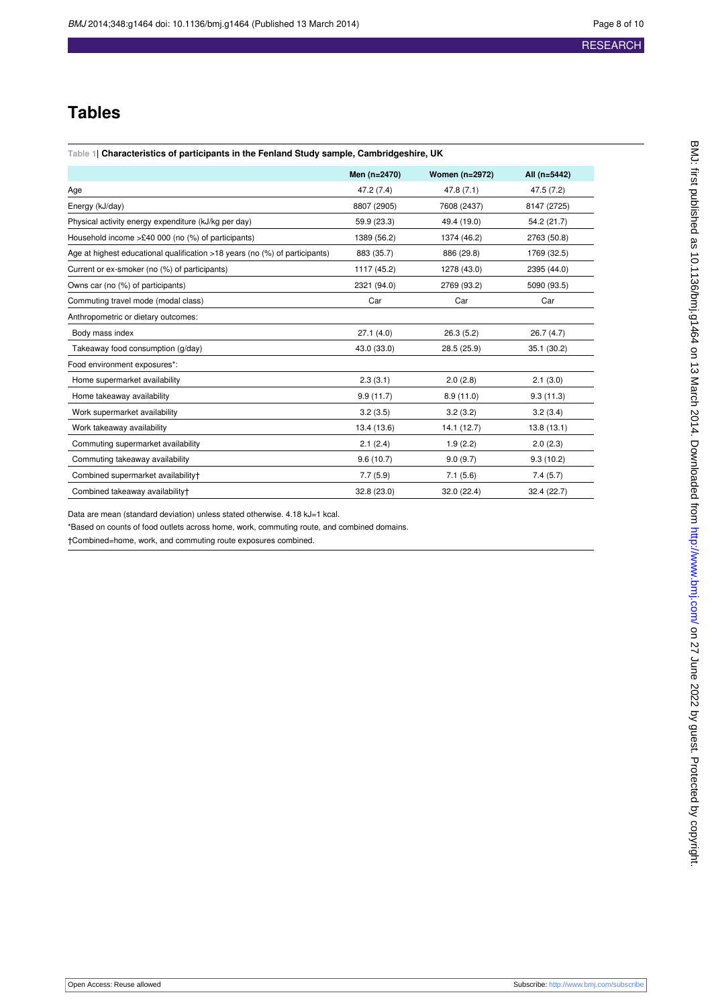## **Tables**

<span id="page-7-0"></span>

|                                                                             | Men (n=2470) | <b>Women (n=2972)</b> | All (n=5442) |
|-----------------------------------------------------------------------------|--------------|-----------------------|--------------|
| Age                                                                         | 47.2 (7.4)   | 47.8 (7.1)            | 47.5(7.2)    |
| Energy (kJ/day)                                                             | 8807 (2905)  | 7608 (2437)           | 8147 (2725)  |
| Physical activity energy expenditure (kJ/kg per day)                        | 59.9 (23.3)  | 49.4 (19.0)           | 54.2 (21.7)  |
| Household income $>£40,000$ (no $(*)$ ) of participants)                    | 1389 (56.2)  | 1374 (46.2)           | 2763 (50.8)  |
| Age at highest educational qualification >18 years (no (%) of participants) | 883 (35.7)   | 886 (29.8)            | 1769 (32.5)  |
| Current or ex-smoker (no (%) of participants)                               | 1117 (45.2)  | 1278 (43.0)           | 2395 (44.0)  |
| Owns car (no (%) of participants)                                           | 2321 (94.0)  | 2769 (93.2)           | 5090 (93.5)  |
| Commuting travel mode (modal class)                                         | Car          | Car                   | Car          |
| Anthropometric or dietary outcomes:                                         |              |                       |              |
| Body mass index                                                             | 27.1(4.0)    | 26.3(5.2)             | 26.7(4.7)    |
| Takeaway food consumption (g/day)                                           | 43.0 (33.0)  | 28.5 (25.9)           | 35.1 (30.2)  |
| Food environment exposures*:                                                |              |                       |              |
| Home supermarket availability                                               | 2.3(3.1)     | 2.0(2.8)              | 2.1(3.0)     |
| Home takeaway availability                                                  | 9.9(11.7)    | 8.9(11.0)             | 9.3(11.3)    |
| Work supermarket availability                                               | 3.2(3.5)     | 3.2(3.2)              | 3.2(3.4)     |
| Work takeaway availability                                                  | 13.4 (13.6)  | 14.1 (12.7)           | 13.8(13.1)   |
| Commuting supermarket availability                                          | 2.1(2.4)     | 1.9(2.2)              | 2.0(2.3)     |
| Commuting takeaway availability                                             | 9.6(10.7)    | 9.0(9.7)              | 9.3(10.2)    |
| Combined supermarket availability+                                          | 7.7(5.9)     | 7.1(5.6)              | 7.4(5.7)     |
| Combined takeaway availability+                                             | 32.8 (23.0)  | 32.0 (22.4)           | 32.4 (22.7)  |

Data are mean (standard deviation) unless stated otherwise. 4.18 kJ=1 kcal.

\*Based on counts of food outlets across home, work, commuting route, and combined domains.

†Combined=home, work, and commuting route exposures combined.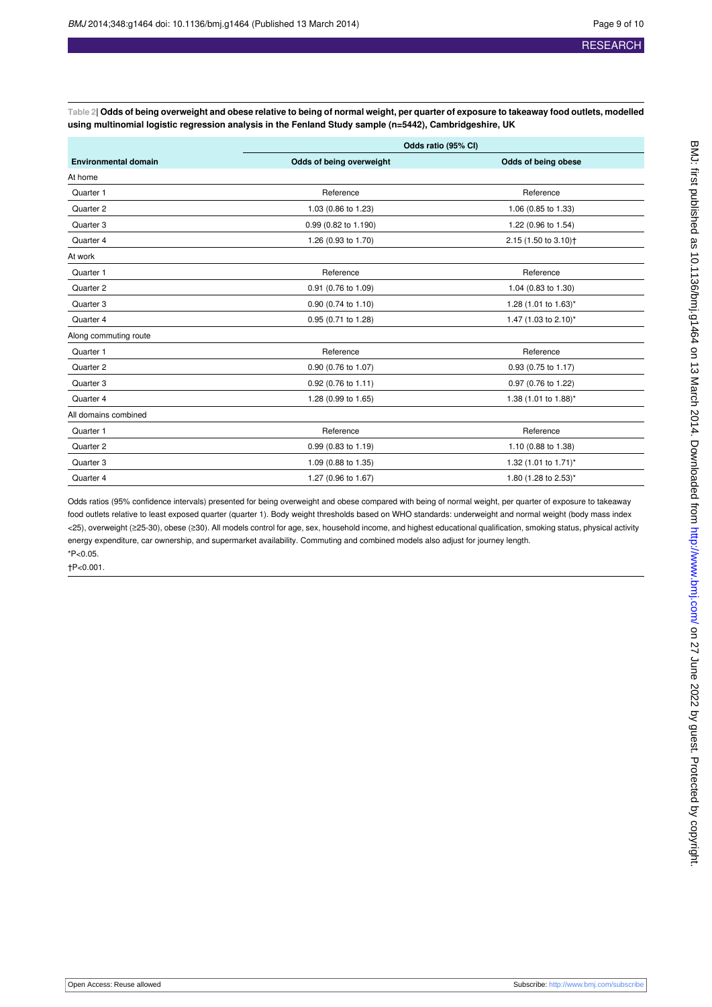<span id="page-8-0"></span>**Table 2| Odds of being overweight and obese relative to being of normal weight, per quarter of exposure to takeaway food outlets, modelled using multinomial logistic regression analysis in the Fenland Study sample (n=5442), Cambridgeshire, UK**

|                             | Odds ratio (95% CI)      |                                  |  |
|-----------------------------|--------------------------|----------------------------------|--|
| <b>Environmental domain</b> | Odds of being overweight | Odds of being obese              |  |
| At home                     |                          |                                  |  |
| Quarter 1                   | Reference                | Reference                        |  |
| Quarter 2                   | 1.03 (0.86 to 1.23)      | 1.06 (0.85 to 1.33)              |  |
| Quarter 3                   | 0.99 (0.82 to 1.190)     | 1.22 (0.96 to 1.54)              |  |
| Quarter 4                   | 1.26 (0.93 to 1.70)      | 2.15 (1.50 to 3.10) <sup>+</sup> |  |
| At work                     |                          |                                  |  |
| Quarter 1                   | Reference                | Reference                        |  |
| Quarter 2                   | 0.91 (0.76 to 1.09)      | 1.04 (0.83 to 1.30)              |  |
| Quarter 3                   | 0.90 (0.74 to 1.10)      | 1.28 (1.01 to 1.63)*             |  |
| Quarter 4                   | 0.95 (0.71 to 1.28)      | 1.47 (1.03 to 2.10)*             |  |
| Along commuting route       |                          |                                  |  |
| Quarter 1                   | Reference                | Reference                        |  |
| Quarter 2                   | 0.90 (0.76 to 1.07)      | 0.93 (0.75 to 1.17)              |  |
| Quarter 3                   | 0.92 (0.76 to 1.11)      | 0.97 (0.76 to 1.22)              |  |
| Quarter 4                   | 1.28 (0.99 to 1.65)      | 1.38 (1.01 to 1.88)*             |  |
| All domains combined        |                          |                                  |  |
| Quarter 1                   | Reference                | Reference                        |  |
| Quarter 2                   | 0.99 (0.83 to 1.19)      | 1.10 (0.88 to 1.38)              |  |
| Quarter 3                   | 1.09 (0.88 to 1.35)      | 1.32 (1.01 to 1.71)*             |  |
| Quarter 4                   | 1.27 (0.96 to 1.67)      | 1.80 (1.28 to 2.53)*             |  |

Odds ratios (95% confidence intervals) presented for being overweight and obese compared with being of normal weight, per quarter of exposure to takeaway food outlets relative to least exposed quarter (quarter 1). Body weight thresholds based on WHO standards: underweight and normal weight (body mass index <25), overweight (≥25-30), obese (≥30). All models control for age, sex, household income, and highest educational qualification, smoking status, physical activity energy expenditure, car ownership, and supermarket availability. Commuting and combined models also adjust for journey length. \*P<0.05.

†P<0.001.